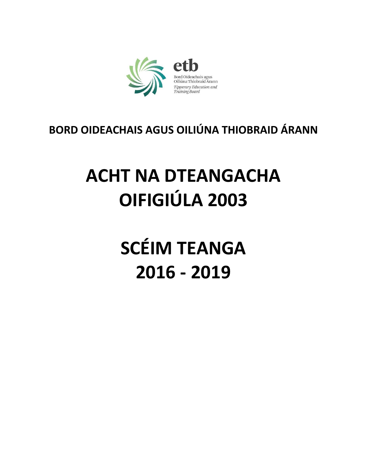

## **BORD OIDEACHAIS AGUS OILIÚNA THIOBRAID ÁRANN**

## **ACHT NA DTEANGACHA OIFIGIÚLA 2003**

# **SCÉIM TEANGA** 2016 - 2019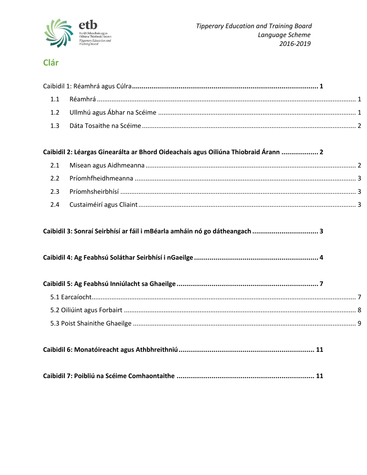

## Clár

#### Caibidil 2: Léargas Ginearálta ar Bhord Oideachais agus Oiliúna Thiobraid Árann ................... 2

#### Caibidil 3: Sonraí Seirbhísí ar fáil i mBéarla amháin nó go dátheangach .................................. 3

|--|

|--|

|--|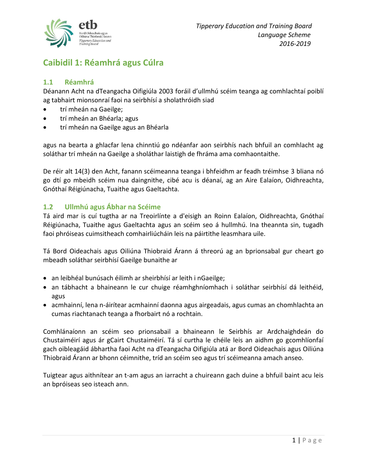

## <span id="page-2-0"></span>**Caibidil 1: Réamhrá agus Cúlra**

#### <span id="page-2-1"></span>**1.1 Réamhrá**

Déanann Acht na dTeangacha Oifigiúla 2003 foráil d'ullmhú scéim teanga ag comhlachtaí poiblí ag tabhairt mionsonraí faoi na seirbhísí a sholathróidh siad

- trí mheán na Gaeilge;
- **•** trí mheán an Bhéarla; agus
- trí mheán na Gaeilge agus an Bhéarla

agus na bearta a ghlacfar lena chinntiú go ndéanfar aon seirbhís nach bhfuil an comhlacht ag soláthar trí mheán na Gaeilge a sholáthar laistigh de fhráma ama comhaontaithe.

De réir alt 14(3) den Acht, fanann scéimeanna teanga i bhfeidhm ar feadh tréimhse 3 bliana nó go dtí go mbeidh scéim nua daingnithe, cibé acu is déanaí, ag an Aire Ealaíon, Oidhreachta, Gnóthaí Réigiúnacha, Tuaithe agus Gaeltachta.

#### <span id="page-2-2"></span>**1.2 Ullmhú agus Ábhar na Scéime**

Tá aird mar is cuí tugtha ar na Treoirlínte a d'eisigh an Roinn Ealaíon, Oidhreachta, Gnóthaí Réigiúnacha, Tuaithe agus Gaeltachta agus an scéim seo á hullmhú. Ina theannta sin, tugadh faoi phróiseas cuimsitheach comhairliúcháin leis na páirtithe leasmhara uile.

Tá Bord Oideachais agus Oiliúna Thiobraid Árann á threorú ag an bprionsabal gur cheart go mbeadh soláthar seirbhísí Gaeilge bunaithe ar

- an leibhéal bunúsach éilimh ar sheirbhísí ar leith i nGaeilge;
- an tábhacht a bhaineann le cur chuige réamhghníomhach i soláthar seirbhísí dá leithéid, agus
- acmhainní, lena n-áirítear acmhainní daonna agus airgeadais, agus cumas an chomhlachta an cumas riachtanach teanga a fhorbairt nó a rochtain.

Comhlánaíonn an scéim seo prionsabail a bhaineann le Seirbhís ar Ardchaighdeán do Chustaiméirí agus ár gCairt Chustaiméirí. Tá sí curtha le chéile leis an aidhm go gcomhlíonfaí gach oibleagáid ábhartha faoi Acht na dTeangacha Oifigiúla atá ar Bord Oideachais agus Oiliúna Thiobraid Árann ar bhonn céimnithe, tríd an scéim seo agus trí scéimeanna amach anseo.

Tuigtear agus aithnítear an t-am agus an iarracht a chuireann gach duine a bhfuil baint acu leis an bpróiseas seo isteach ann.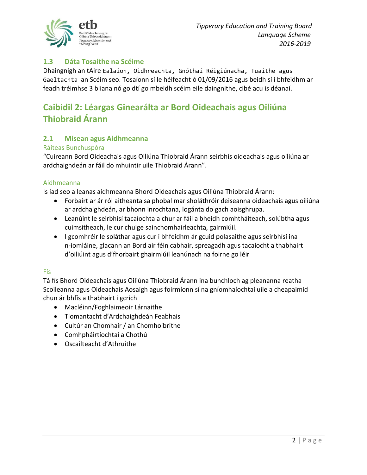

#### <span id="page-3-0"></span>**1.3 Dáta Tosaithe na Scéime**

Dhaingnigh an tAire Ealaíon, Oidhreachta, Gnóthaí Réigiúnacha, Tuaithe agus Gaeltachta an Scéim seo. Tosaíonn sí le héifeacht ó 01/09/2016 agus beidh sí i bhfeidhm ar feadh tréimhse 3 bliana nó go dtí go mbeidh scéim eile daingnithe, cibé acu is déanaí.

### <span id="page-3-1"></span>**Caibidil 2: Léargas Ginearálta ar Bord Oideachais agus Oiliúna Thiobraid Árann**

#### <span id="page-3-2"></span>**2.1 Misean agus Aidhmeanna**

#### Ráiteas Bunchuspóra

"Cuireann Bord Oideachais agus Oiliúna Thiobraid Árann seirbhís oideachais agus oiliúna ar ardchaighdeán ar fáil do mhuintir uile Thiobraid Árann".

#### Aidhmeanna

Is iad seo a leanas aidhmeanna Bhord Oideachais agus Oiliúna Thiobraid Árann:

- Forbairt ar ár ról aitheanta sa phobal mar sholáthróir deiseanna oideachais agus oiliúna ar ardchaighdeán, ar bhonn inrochtana, logánta do gach aoisghrupa.
- Leanúint le seirbhísí tacaíochta a chur ar fáil a bheidh comhtháiteach, solúbtha agus cuimsitheach, le cur chuige sainchomhairleachta, gairmiúil.
- I gcomhréir le soláthar agus cur i bhfeidhm ár gcuid polasaithe agus seirbhísí ina n-iomláine, glacann an Bord air féin cabhair, spreagadh agus tacaíocht a thabhairt d'oiliúint agus d'fhorbairt ghairmiúil leanúnach na foirne go léir

#### Fís

Tá fís Bhord Oideachais agus Oiliúna Thiobraid Árann ina bunchloch ag pleananna reatha Scoileanna agus Oideachais Aosaigh agus foirmíonn sí na gníomhaíochtaí uile a cheapaimid chun ár bhfís a thabhairt i gcrích

- Macléinn/Foghlaimeoir Lárnaithe
- Tiomantacht d'Ardchaighdeán Feabhais
- Cultúr an Chomhair / an Chomhoibrithe
- Comhpháirtíochtaí a Chothú
- Oscailteacht d'Athruithe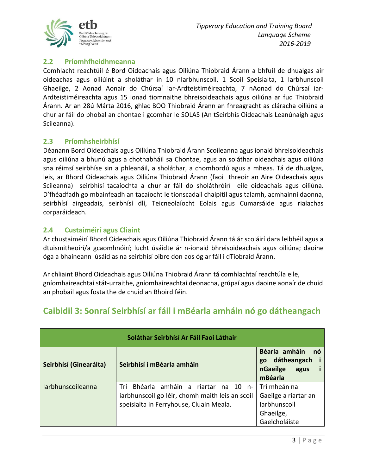

#### <span id="page-4-0"></span>**2.2 Príomhfheidhmeanna**

Comhlacht reachtúil é Bord Oideachais agus Oiliúna Thiobraid Árann a bhfuil de dhualgas air oideachas agus oiliúint a sholáthar in 10 nIarbhunscoil, 1 Scoil Speisialta, 1 Iarbhunscoil Ghaeilge, 2 Aonad Aonair do Chúrsaí iar-Ardteistiméireachta, 7 nAonad do Chúrsaí iar-Ardteistiméireachta agus 15 ionad tiomnaithe bhreisoideachais agus oiliúna ar fud Thiobraid Árann. Ar an 28ú Márta 2016, ghlac BOO Thiobraid Árann an fhreagracht as cláracha oiliúna a chur ar fáil do phobal an chontae i gcomhar le SOLAS (An tSeirbhís Oideachais Leanúnaigh agus Scileanna).

#### <span id="page-4-1"></span>**2.3 Príomhsheirbhísí**

Déanann Bord Oideachais agus Oiliúna Thiobraid Árann Scoileanna agus ionaid bhreisoideachais agus oiliúna a bhunú agus a chothabháil sa Chontae, agus an soláthar oideachais agus oiliúna sna réimsí seirbhíse sin a phleanáil, a sholáthar, a chomhordú agus a mheas. Tá de dhualgas, leis, ar Bhord Oideachais agus Oiliúna Thiobraid Árann (faoi threoir an Aire Oideachais agus Scileanna) seirbhísí tacaíochta a chur ar fáil do sholáthróirí eile oideachais agus oiliúna. D'fhéadfadh go mbainfeadh an tacaíocht le tionscadail chaipitil agus talamh, acmhainní daonna, seirbhísí airgeadais, seirbhísí dlí, Teicneolaíocht Eolais agus Cumarsáide agus rialachas corparáideach.

#### <span id="page-4-2"></span>**2.4 Custaiméirí agus Cliaint**

Ar chustaiméirí Bhord Oideachais agus Oiliúna Thiobraid Árann tá ár scoláirí dara leibhéil agus a dtuismitheoirí/a gcaomhnóirí; lucht úsáidte ár n-ionaid bhreisoideachais agus oiliúna; daoine óga a bhaineann úsáid as na seirbhísí oibre don aos óg ar fáil i dTiobraid Árann.

<span id="page-4-3"></span>Ar chliaint Bhord Oideachais agus Oiliúna Thiobraid Árann tá comhlachtaí reachtúla eile, gníomhaireachtaí stát-urraithe, gníomhaireachtaí deonacha, grúpaí agus daoine aonaír de chuid an phobail agus fostaithe de chuid an Bhoird féin.

| Seirbhísí (Ginearálta)   | Seirbhísí i mBéarla amháin                                                                                                             | Béarla amháin<br>nó<br>dátheangach<br>go<br>nGaeilge<br>agus<br>mBéarla                   |
|--------------------------|----------------------------------------------------------------------------------------------------------------------------------------|-------------------------------------------------------------------------------------------|
| <b>larbhunscoileanna</b> | Trí Bhéarla amháin a riartar<br>na 10 n-<br>iarbhunscoil go léir, chomh maith leis an scoil<br>speisialta in Ferryhouse, Cluain Meala. | Trí mheán na<br>Gaeilge a riartar an<br><b>larbhunscoil</b><br>Ghaeilge,<br>Gaelcholáiste |

## **Caibidil 3: Sonraí Seirbhísí ar fáil i mBéarla amháin nó go dátheangach**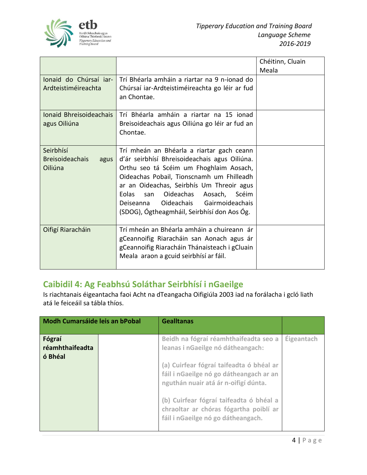

|                                                        |                                                                                                                                                                                                                                                                                                                                                                                   | Chéitinn, Cluain<br>Meala |
|--------------------------------------------------------|-----------------------------------------------------------------------------------------------------------------------------------------------------------------------------------------------------------------------------------------------------------------------------------------------------------------------------------------------------------------------------------|---------------------------|
| Ionaid do Chúrsaí iar-<br>Ardteistiméireachta          | Trí Bhéarla amháin a riartar na 9 n-ionad do<br>Chúrsaí iar-Ardteistiméireachta go léir ar fud<br>an Chontae.                                                                                                                                                                                                                                                                     |                           |
| Ionaid Bhreisoideachais<br>agus Oiliúna                | Trí Bhéarla amháin a riartar na 15 ionad<br>Breisoideachais agus Oiliúna go léir ar fud an<br>Chontae.                                                                                                                                                                                                                                                                            |                           |
| Seirbhísí<br><b>Breisoideachais</b><br>agus<br>Oiliúna | Trí mheán an Bhéarla a riartar gach ceann<br>d'ár seirbhísí Bhreisoideachais agus Oiliúna.<br>Orthu seo tá Scéim um Fhoghlaim Aosach,<br>Oideachas Pobail, Tionscnamh um Fhilleadh<br>ar an Oideachas, Seirbhís Um Threoir agus<br>Eolas<br>Oideachas<br>Aosach, Scéim<br>san<br>Gairmoideachais<br><b>Oideachais</b><br>Deiseanna<br>(SDOG), Ógtheagmháil, Seirbhísí don Aos Óg. |                           |
| Oifigí Riaracháin                                      | Trí mheán an Bhéarla amháin a chuireann ár<br>gCeannoifig Riaracháin san Aonach agus ár<br>gCeannoifig Riaracháin Thánaisteach i gCluain<br>Meala araon a gcuid seirbhísí ar fáil.                                                                                                                                                                                                |                           |

## <span id="page-5-0"></span>**Caibidil 4: Ag Feabhsú Soláthar Seirbhísí i nGaeilge**

Is riachtanais éigeantacha faoi Acht na dTeangacha Oifigiúla 2003 iad na forálacha i gcló liath atá le feiceáil sa tábla thíos.

| Modh Cumarsáide leis an bPobal       |  | <b>Gealltanas</b>                                                                                                           |                   |
|--------------------------------------|--|-----------------------------------------------------------------------------------------------------------------------------|-------------------|
| Fógraí<br>réamhthaifeadta<br>ó Bhéal |  | Beidh na fógraí réamhthaifeadta seo a<br>leanas i nGaeilge nó dátheangach:                                                  | <b>Éigeantach</b> |
|                                      |  | (a) Cuirfear fógraí taifeadta ó bhéal ar<br>fáil i nGaeilge nó go dátheangach ar an<br>nguthán nuair atá ár n-oifigí dúnta. |                   |
|                                      |  | (b) Cuirfear fógraí taifeadta ó bhéal a<br>chraoltar ar chóras fógartha poiblí ar<br>fáil i nGaeilge nó go dátheangach.     |                   |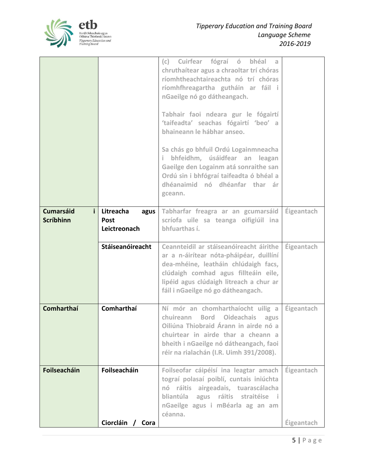

|                                            |                                                  | (c) Cuirfear fógraí ó<br>bhéal<br>- a<br>chruthaítear agus a chraoltar trí chóras<br>ríomhtheachtaireachta nó trí chóras<br>ríomhfhreagartha gutháin ar fáil i<br>nGaeilge nó go dátheangach.<br>Tabhair faoi ndeara gur le fógairtí<br>'taifeadta' seachas fógairtí 'beo' a<br>bhaineann le hábhar anseo.<br>Sa chás go bhfuil Ordú Logainmneacha<br>bhfeidhm, úsáidfear an leagan<br>i.<br>Gaeilge den Logainm atá sonraithe san<br>Ordú sin i bhfógraí taifeadta ó bhéal a<br>dhéanaimid nó dhéanfar thar ár<br>gceann. |                          |
|--------------------------------------------|--------------------------------------------------|----------------------------------------------------------------------------------------------------------------------------------------------------------------------------------------------------------------------------------------------------------------------------------------------------------------------------------------------------------------------------------------------------------------------------------------------------------------------------------------------------------------------------|--------------------------|
| <b>Cumarsáid</b><br>i.<br><b>Scríbhinn</b> | Litreacha<br>agus<br><b>Post</b><br>Leictreonach | Tabharfar freagra ar an gcumarsáid<br>scríofa uile sa teanga oifigiúil ina<br>bhfuarthas í.                                                                                                                                                                                                                                                                                                                                                                                                                                | Éigeantach               |
|                                            | <b>Stáiseanóireacht</b>                          | Ceannteidil ar stáiseanóireacht áirithe<br>ar a n-áirítear nóta-pháipéar, duillíní<br>dea-mhéine, leatháin chlúdaigh facs,<br>clúdaigh comhad agus fillteáin eile,<br>lipéid agus clúdaigh litreach a chur ar<br>fáil i nGaeilge nó go dátheangach.                                                                                                                                                                                                                                                                        | <b>Éigeantach</b>        |
| <b>Comharthaí</b>                          | <b>Comharthaí</b>                                | Ní mór an chomharthaíocht uilig a<br><b>Bord Oideachais</b><br>chuireann<br>agus<br>Oiliúna Thiobraid Árann in airde nó a<br>chuirtear in airde thar a cheann a<br>bheith i nGaeilge nó dátheangach, faoi<br>réir na rialachán (I.R. Uimh 391/2008).                                                                                                                                                                                                                                                                       | Éigeantach               |
| Foilseacháin                               | Foilseacháin<br>Ciorcláin<br>Cora                | Foilseofar cáipéisí ina leagtar amach<br>tograí polasaí poiblí, cuntais iniúchta<br>nó ráitis airgeadais, tuarascálacha<br>bliantúla agus ráitis straitéise i<br>nGaeilge agus i mBéarla ag an am<br>céanna.                                                                                                                                                                                                                                                                                                               | Éigeantach<br>Éigeantach |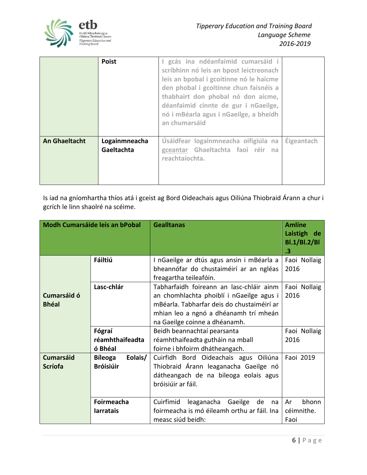

|                      | <b>Poist</b>                | gcás ina ndéanfaimid cumarsáid i<br>scríbhinn nó leis an bpost leictreonach<br>leis an bpobal i gcoitinne nó le haicme<br>den phobal i gcoitinne chun faisnéis a<br>thabhairt don phobal nó don aicme,<br>déanfaimid cinnte de gur i nGaeilge,<br>nó i mBéarla agus i nGaeilge, a bheidh<br>an chumarsáid |            |
|----------------------|-----------------------------|-----------------------------------------------------------------------------------------------------------------------------------------------------------------------------------------------------------------------------------------------------------------------------------------------------------|------------|
| <b>An Ghaeltacht</b> | Logainmneacha<br>Gaeltachta | Úsáidfear logainmneacha oifigiúla na<br>gceantar Ghaeltachta faoi réir na<br>reachtaíochta.                                                                                                                                                                                                               | Éigeantach |

Is iad na gníomhartha thíos atá i gceist ag Bord Oideachais agus Oiliúna Thiobraid Árann a chur i gcrích le linn shaolré na scéime.

| <b>Modh Cumarsáide leis an bPobal</b>            |                                               | <b>Gealltanas</b>                                                                                                                                                                                            | <b>Amlíne</b><br>Laistigh<br>de<br>BI.1/BI.2/BI<br>.3 |
|--------------------------------------------------|-----------------------------------------------|--------------------------------------------------------------------------------------------------------------------------------------------------------------------------------------------------------------|-------------------------------------------------------|
| Fáiltiú                                          |                                               | I nGaeilge ar dtús agus ansin i mBéarla a<br>bheannófar do chustaiméirí ar an ngléas                                                                                                                         | Faoi Nollaig<br>2016                                  |
|                                                  |                                               | freagartha teileafóin.                                                                                                                                                                                       |                                                       |
| Lasc-chlár<br><b>Cumarsáid ó</b><br><b>Bhéal</b> |                                               | Tabharfaidh foireann an lasc-chláir ainm<br>an chomhlachta phoiblí i nGaeilge agus i<br>mBéarla. Tabharfar deis do chustaiméirí ar<br>mhian leo a ngnó a dhéanamh trí mheán<br>na Gaeilge coinne a dhéanamh. | Faoi Nollaig<br>2016                                  |
|                                                  | Fógraí                                        | Beidh beannachtaí pearsanta                                                                                                                                                                                  | Faoi Nollaig                                          |
|                                                  | réamhthaifeadta                               | réamhthaifeadta gutháin na mball                                                                                                                                                                             | 2016                                                  |
|                                                  | ó Bhéal                                       | foirne i bhfoirm dhátheangach.                                                                                                                                                                               |                                                       |
| <b>Cumarsáid</b><br><b>Scríofa</b>               | Eolais/<br><b>Bíleoga</b><br><b>Bróisiúir</b> | Cuirfidh Bord Oideachais agus Oiliúna<br>Thiobraid Árann leaganacha Gaeilge nó<br>dátheangach de na bileoga eolais agus<br>bróisiúir ar fáil.                                                                | Faoi 2019                                             |
|                                                  | <b>Foirmeacha</b><br><b>larratais</b>         | Cuirfimid<br>leaganacha Gaeilge<br>de<br>na<br>foirmeacha is mó éileamh orthu ar fáil. Ina<br>measc siúd beidh:                                                                                              | bhonn<br>Ar<br>céimnithe.<br>Faoi                     |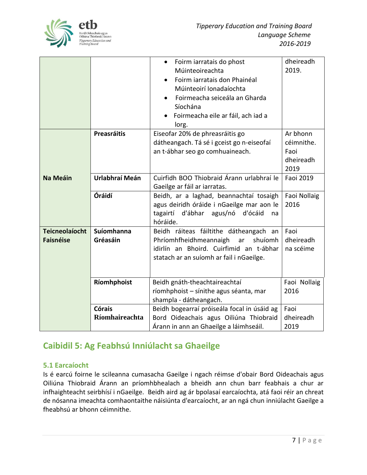

|                       |                    | Foirm iarratais do phost<br>$\bullet$       | dheireadh           |
|-----------------------|--------------------|---------------------------------------------|---------------------|
|                       |                    | Múinteoireachta                             | 2019.               |
|                       |                    | Foirm iarratais don Phainéal<br>$\bullet$   |                     |
|                       |                    | Múinteoirí Ionadaíochta                     |                     |
|                       |                    | Foirmeacha seiceála an Gharda               |                     |
|                       |                    | Síochána                                    |                     |
|                       |                    | Foirmeacha eile ar fáil, ach iad a          |                     |
|                       |                    | lorg.                                       |                     |
|                       | <b>Preasráitis</b> | Eiseofar 20% de phreasráitis go             | Ar bhonn            |
|                       |                    | dátheangach. Tá sé i gceist go n-eiseofaí   | céimnithe.          |
|                       |                    | an t-ábhar seo go comhuaineach.             | Faoi                |
|                       |                    |                                             | dheireadh           |
|                       |                    |                                             | 2019                |
| <b>Na Meáin</b>       | Urlabhraí Meán     | Cuirfidh BOO Thiobraid Árann urlabhraí le   | Faoi 2019           |
|                       |                    | Gaeilge ar fáil ar iarratas.                |                     |
|                       | Óráidí             | Beidh, ar a laghad, beannachtaí tosaigh     | <b>Faoi Nollaig</b> |
|                       |                    | agus deiridh óráide i nGaeilge mar aon le   | 2016                |
|                       |                    | tagairtí d'ábhar agus/nó d'ócáid<br>na      |                     |
|                       |                    | hóráide.                                    |                     |
| <b>Teicneolaíocht</b> | Suíomhanna         | Beidh ráiteas fáiltithe dátheangach an      | Faoi                |
| <b>Faisnéise</b>      | Gréasáin           | Phríomhfheidhmeannaigh<br>shuíomh<br>ar     | dheireadh           |
|                       |                    | idirlín an Bhoird. Cuirfimid an t-ábhar     | na scéime           |
|                       |                    | statach ar an suíomh ar fail i nGaeilge.    |                     |
|                       |                    |                                             |                     |
|                       | Ríomhphoist        | Beidh gnáth-theachtaireachtaí               | Faoi Nollaig        |
|                       |                    | ríomhphoist - sínithe agus séanta, mar      | 2016                |
|                       |                    | shampla - dátheangach.                      |                     |
|                       | <b>Córais</b>      | Beidh bogearraí próiseála focal in úsáid ag | Faoi                |
|                       | Ríomhaireachta     | Bord Oideachais agus Oiliúna Thiobraid      | dheireadh           |
|                       |                    | Árann in ann an Ghaeilge a láimhseáil.      | 2019                |

## <span id="page-8-0"></span>**Caibidil 5: Ag Feabhsú Inniúlacht sa Ghaeilge**

#### <span id="page-8-1"></span>**5.1 Earcaíocht**

Is é earcú foirne le scileanna cumasacha Gaeilge i ngach réimse d'obair Bord Oideachais agus Oiliúna Thiobraid Árann an príomhbhealach a bheidh ann chun barr feabhais a chur ar infhaighteacht seirbhísí i nGaeilge. Beidh aird ag ár bpolasaí earcaíochta, atá faoi réir an chreat de nósanna imeachta comhaontaithe náisiúnta d'earcaíocht, ar an ngá chun inniúlacht Gaeilge a fheabhsú ar bhonn céimnithe.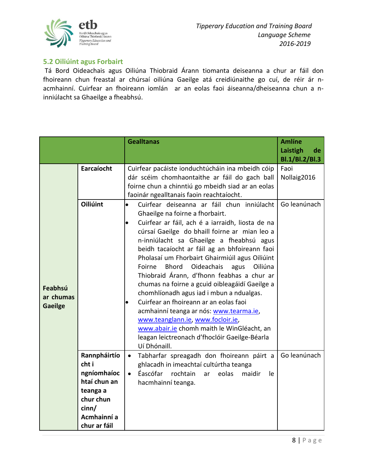

#### <span id="page-9-0"></span>**5.2 Oiliúint agus Forbairt**

Tá Bord Oideachais agus Oiliúna Thiobraid Árann tiomanta deiseanna a chur ar fáil don fhoireann chun freastal ar chúrsaí oiliúna Gaeilge atá creidiúnaithe go cuí, de réir ár nacmhainní. Cuirfear an fhoireann iomlán ar an eolas faoi áiseanna/dheiseanna chun a ninniúlacht sa Ghaeilge a fheabhsú.

|                                        |                                                                                                                       | <b>Gealltanas</b>                                                                                                                                                                                                                                                                                                                                                                                                                                                                                                                                                                                                                                                                                                                                                                                                        | <b>Amlíne</b><br>Laistigh<br>de<br>Bl.1/Bl.2/Bl.3 |
|----------------------------------------|-----------------------------------------------------------------------------------------------------------------------|--------------------------------------------------------------------------------------------------------------------------------------------------------------------------------------------------------------------------------------------------------------------------------------------------------------------------------------------------------------------------------------------------------------------------------------------------------------------------------------------------------------------------------------------------------------------------------------------------------------------------------------------------------------------------------------------------------------------------------------------------------------------------------------------------------------------------|---------------------------------------------------|
|                                        | Earcaíocht<br>Oiliúint                                                                                                | Cuirfear pacáiste ionduchtúcháin ina mbeidh cóip<br>dár scéim chomhaontaithe ar fáil do gach ball<br>foirne chun a chinntiú go mbeidh siad ar an eolas<br>faoinár ngealltanais faoin reachtaíocht.                                                                                                                                                                                                                                                                                                                                                                                                                                                                                                                                                                                                                       | Faoi<br>Nollaig2016<br>Go leanúnach               |
| Feabhsú<br>ar chumas<br><b>Gaeilge</b> |                                                                                                                       | Cuirfear deiseanna ar fáil chun inniúlacht<br>$\bullet$<br>Ghaeilge na foirne a fhorbairt.<br>Cuirfear ar fáil, ach é a iarraidh, liosta de na<br>$\bullet$<br>cúrsaí Gaeilge do bhaill foirne ar mian leo a<br>n-inniúlacht sa Ghaeilge a fheabhsú agus<br>beidh tacaíocht ar fáil ag an bhfoireann faoi<br>Pholasaí um Fhorbairt Ghairmiúil agus Oiliúint<br><b>Bhord</b><br>Oideachais<br>agus<br>Oiliúna<br>Foirne<br>Thiobraid Árann, d'fhonn feabhas a chur ar<br>chumas na foirne a gcuid oibleagáidí Gaeilge a<br>chomhlíonadh agus iad i mbun a ndualgas.<br>Cuirfear an fhoireann ar an eolas faoi<br>$\bullet$<br>acmhainní teanga ar nós: www.tearma.ie,<br>www.teanglann.ie, www.focloir.ie,<br>www.abair.ie chomh maith le WinGléacht, an<br>leagan leictreonach d'fhoclóir Gaeilge-Béarla<br>Uí Dhónaill. |                                                   |
|                                        | Rannpháirtío<br>cht i<br>ngníomhaíoc<br>htaí chun an<br>teanga a<br>chur chun<br>cinn/<br>Acmhainní a<br>chur ar fáil | Tabharfar spreagadh don fhoireann páirt a<br>$\bullet$<br>ghlacadh in imeachtaí cultúrtha teanga<br>Éascófar<br>rochtain<br>eolas<br>maidir<br>$\bullet$<br>le.<br>ar<br>hacmhainní teanga.                                                                                                                                                                                                                                                                                                                                                                                                                                                                                                                                                                                                                              | Go leanúnach                                      |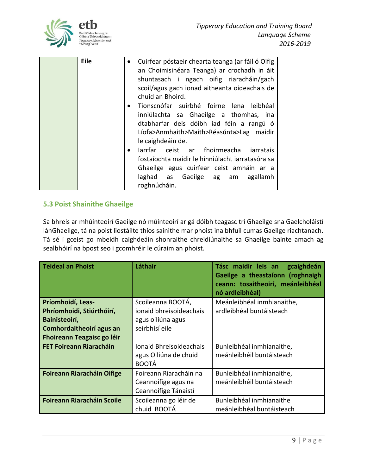

| <b>Eile</b> | Cuirfear póstaeir chearta teanga (ar fáil ó Oifig<br>$\bullet$<br>an Choimisinéara Teanga) ar crochadh in áit<br>shuntasach i ngach oifig riaracháin/gach<br>scoil/agus gach ionad aitheanta oideachais de<br>chuid an Bhoird.<br>Tionscnófar suirbhé foirne lena leibhéal<br>$\bullet$<br>inniúlachta sa Ghaeilge a thomhas, ina<br>dtabharfar deis dóibh iad féin a rangú ó<br>Líofa>Anmhaith>Maith>Réasúnta>Lag maidir<br>le caighdeáin de.<br>larrfar ceist ar fhoirmeacha<br>iarratais<br>$\bullet$ |
|-------------|----------------------------------------------------------------------------------------------------------------------------------------------------------------------------------------------------------------------------------------------------------------------------------------------------------------------------------------------------------------------------------------------------------------------------------------------------------------------------------------------------------|
|             | fostaíochta maidir le hinniúlacht iarratasóra sa<br>Ghaeilge agus cuirfear ceist amháin ar a<br>laghad as Gaeilge ag am<br>agallamh<br>roghnúcháin.                                                                                                                                                                                                                                                                                                                                                      |

#### <span id="page-10-0"></span>**5.3 Poist Shainithe Ghaeilge**

Sa bhreis ar mhúinteoirí Gaeilge nó múinteoirí ar gá dóibh teagasc trí Ghaeilge sna Gaelcholáistí lánGhaeilge, tá na poist liostáilte thíos sainithe mar phoist ina bhfuil cumas Gaeilge riachtanach. Tá sé i gceist go mbeidh caighdeáin shonraithe chreidiúnaithe sa Ghaeilge bainte amach ag sealbhóirí na bpost seo i gcomhréir le cúraim an phoist.

| Teideal an Phoist                 | Láthair                 | Tásc maidir leis an<br>gcaighdeán<br>Gaeilge a theastaíonn (roghnaigh<br>ceann: tosaitheoirí, meánleibhéal<br>nó ardleibhéal) |
|-----------------------------------|-------------------------|-------------------------------------------------------------------------------------------------------------------------------|
| Príomhoidí, Leas-                 | Scoileanna BOOTÁ,       | Meánleibhéal inmhianaithe,                                                                                                    |
| Phríomhoidi, Stiúrthóirí,         | ionaid bhreisoideachais | ardleibhéal buntáisteach                                                                                                      |
| Bainisteoirí,                     | agus oiliúna agus       |                                                                                                                               |
| Comhordaitheoirí agus an          | seirbhísí eile          |                                                                                                                               |
| <b>Fhoireann Teagaisc go léir</b> |                         |                                                                                                                               |
| <b>FET Foireann Riaracháin</b>    | Ionaid Bhreisoideachais | Bunleibhéal inmhianaithe,                                                                                                     |
|                                   | agus Oiliúna de chuid   | meánleibhéil buntáisteach                                                                                                     |
|                                   | <b>BOOTÁ</b>            |                                                                                                                               |
| <b>Foireann Riaracháin Oifige</b> | Foireann Riaracháin na  | Bunleibhéal inmhianaithe,                                                                                                     |
|                                   | Ceannoifige agus na     | meánleibhéil buntáisteach                                                                                                     |
|                                   | Ceannoifige Tánaistí    |                                                                                                                               |
| <b>Foireann Riaracháin Scoile</b> | Scoileanna go léir de   | Bunleibhéal inmhianaithe                                                                                                      |
|                                   | chuid BOOTÁ             | meánleibhéal buntáisteach                                                                                                     |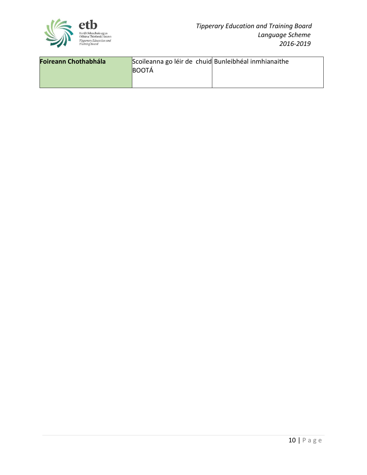

<span id="page-11-0"></span>

| Foireann Chothabhála | Scoileanna go léir de chuid Bunleibhéal inmhianaithe |  |
|----------------------|------------------------------------------------------|--|
|                      | <b>BOOTA</b>                                         |  |
|                      |                                                      |  |